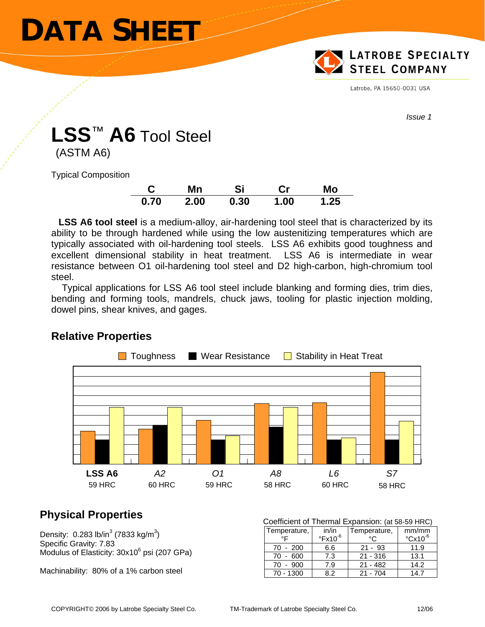# **DATA SHEET**



Latrobe, PA 15650-0031 USA

*Issue 1* 

## **LSS**™ **A6** Tool Steel

(ASTM A6)

Typical Composition

|      | Mn   | Si   | Cr   | Mo   |
|------|------|------|------|------|
| 0.70 | 2.00 | 0.30 | 1.00 | 1.25 |

 **LSS A6 tool steel** is a medium-alloy, air-hardening tool steel that is characterized by its ability to be through hardened while using the low austenitizing temperatures which are typically associated with oil-hardening tool steels. LSS A6 exhibits good toughness and excellent dimensional stability in heat treatment. LSS A6 is intermediate in wear resistance between O1 oil-hardening tool steel and D2 high-carbon, high-chromium tool steel.

 Typical applications for LSS A6 tool steel include blanking and forming dies, trim dies, bending and forming tools, mandrels, chuck jaws, tooling for plastic injection molding, dowel pins, shear knives, and gages.



### **Relative Properties**

### **Physical Properties**

Density:  $0.283$  lb/in<sup>3</sup> (7833 kg/m<sup>3</sup>) Specific Gravity: 7.83 Modulus of Elasticity: 30x10<sup>6</sup> psi (207 GPa)

Machinability: 80% of a 1% carbon steel

| Coefficient of Thermal Expansion: (at 58-59 HRC) |                       |              |                          |  |  |  |  |
|--------------------------------------------------|-----------------------|--------------|--------------------------|--|--|--|--|
| Temperature,                                     | in/in                 | Temperature, | mm/mm                    |  |  |  |  |
| $\circ \mathsf{F}$                               | $\mathrm{PFA}10^{-6}$ | $\circ$      | $\degree$ Cx10 $\degree$ |  |  |  |  |
| $70 - 200$                                       | 6.6                   | $21 - 93$    | 11.9                     |  |  |  |  |
| $70 - 600$                                       | 7.3                   | $21 - 316$   | 13.1                     |  |  |  |  |
| $70 - 900$                                       | 7.9                   | $21 - 482$   | 14.2                     |  |  |  |  |
| 70 - 1300                                        | 82                    | $21 - 704$   | 14.7                     |  |  |  |  |